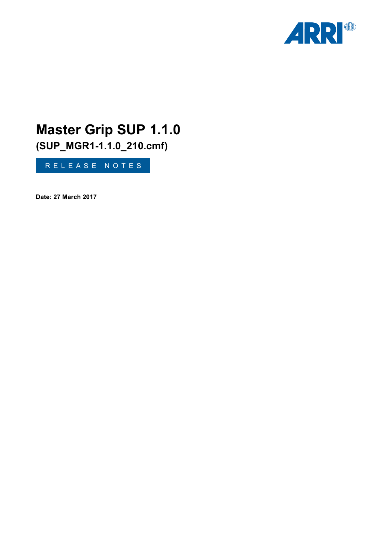

# **Master Grip SUP 1.1.0**

**(SUP\_MGR1-1.1.0\_210.cmf)**

RELEASE NOTES

**Date: 27 March 2017**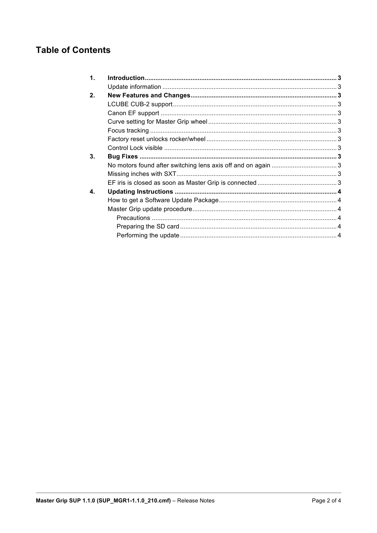# **Table of Contents**

| $\mathbf 1$ . |  |
|---------------|--|
|               |  |
| 2.            |  |
|               |  |
|               |  |
|               |  |
|               |  |
|               |  |
|               |  |
| 3.            |  |
|               |  |
|               |  |
|               |  |
| 4.            |  |
|               |  |
|               |  |
|               |  |
|               |  |
|               |  |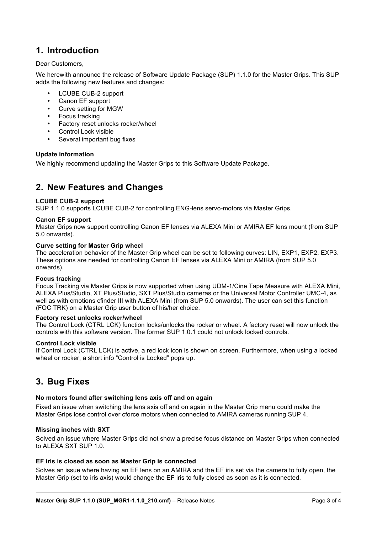## **1. Introduction**

Dear Customers,

We herewith announce the release of Software Update Package (SUP) 1.1.0 for the Master Grips. This SUP adds the following new features and changes:

- LCUBE CUB-2 support
- Canon EF support
- Curve setting for MGW
- Focus tracking
- Factory reset unlocks rocker/wheel
- Control Lock visible
- Several important bug fixes

#### **Update information**

We highly recommend updating the Master Grips to this Software Update Package.

### <span id="page-2-0"></span>**2. New Features and Changes**

#### **LCUBE CUB-2 support**

SUP 1.1.0 supports LCUBE CUB-2 for controlling ENG-lens servo-motors via Master Grips.

#### **Canon EF support**

Master Grips now support controlling Canon EF lenses via ALEXA Mini or AMIRA EF lens mount (from SUP 5.0 onwards).

#### **Curve setting for Master Grip wheel**

The acceleration behavior of the Master Grip wheel can be set to following curves: LIN, EXP1, EXP2, EXP3. These options are needed for controlling Canon EF lenses via ALEXA Mini or AMIRA (from SUP 5.0 onwards).

#### **Focus tracking**

<span id="page-2-1"></span>Focus Tracking via Master Grips is now supported when using UDM-1/Cine Tape Measure with ALEXA Mini, ALEXA Plus/Studio, XT Plus/Studio, SXT Plus/Studio cameras or the Universal Motor Controller UMC-4, as well as with cmotions cfinder III with ALEXA Mini (from SUP 5.0 onwards). The user can set this function (FOC TRK) on a Master Grip user button of his/her choice.

#### <span id="page-2-2"></span>**Factory reset unlocks rocker/wheel**

<span id="page-2-3"></span>The Control Lock (CTRL LCK) function locks/unlocks the rocker or wheel. A factory reset will now unlock the controls with this software version. The former SUP 1.0.1 could not unlock locked controls.

#### **Control Lock visible**

If Control Lock (CTRL LCK) is active, a red lock icon is shown on screen. Furthermore, when using a locked wheel or rocker, a short info "Control is Locked" pops up.

## **3. Bug Fixes**

#### **No motors found after switching lens axis off and on again**

Fixed an issue when switching the lens axis off and on again in the Master Grip menu could make the Master Grips lose control over cforce motors when connected to AMIRA cameras running SUP 4.

#### **Missing inches with SXT**

Solved an issue where Master Grips did not show a precise focus distance on Master Grips when connected to ALEXA SXT SUP 1.0.

#### **EF iris is closed as soon as Master Grip is connected**

Solves an issue where having an EF lens on an AMIRA and the EF iris set via the camera to fully open, the Master Grip (set to iris axis) would change the EF iris to fully closed as soon as it is connected.